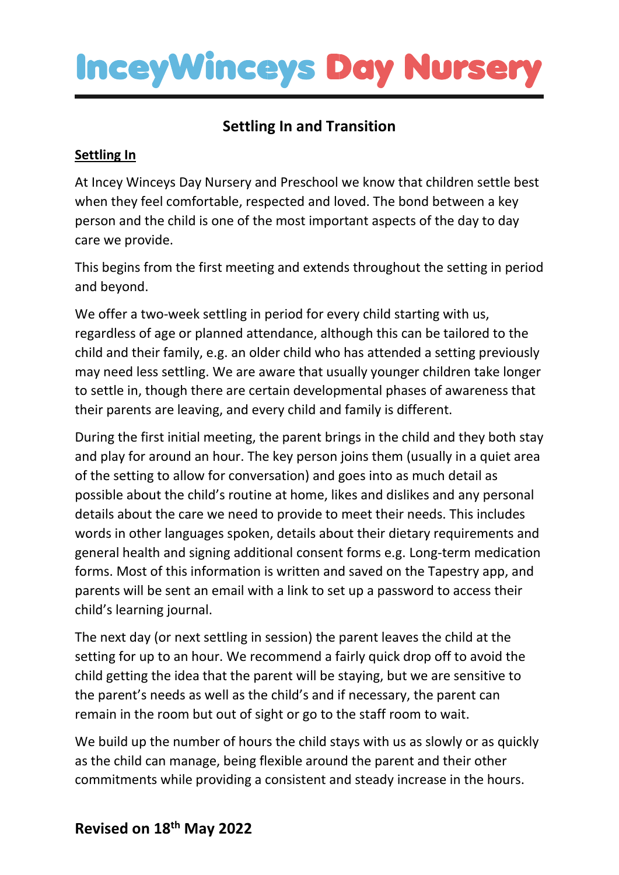

## **Settling In and Transition**

#### **Settling In**

At Incey Winceys Day Nursery and Preschool we know that children settle best when they feel comfortable, respected and loved. The bond between a key person and the child is one of the most important aspects of the day to day care we provide.

This begins from the first meeting and extends throughout the setting in period and beyond.

We offer a two-week settling in period for every child starting with us, regardless of age or planned attendance, although this can be tailored to the child and their family, e.g. an older child who has attended a setting previously may need less settling. We are aware that usually younger children take longer to settle in, though there are certain developmental phases of awareness that their parents are leaving, and every child and family is different.

During the first initial meeting, the parent brings in the child and they both stay and play for around an hour. The key person joins them (usually in a quiet area of the setting to allow for conversation) and goes into as much detail as possible about the child's routine at home, likes and dislikes and any personal details about the care we need to provide to meet their needs. This includes words in other languages spoken, details about their dietary requirements and general health and signing additional consent forms e.g. Long-term medication forms. Most of this information is written and saved on the Tapestry app, and parents will be sent an email with a link to set up a password to access their child's learning journal.

The next day (or next settling in session) the parent leaves the child at the setting for up to an hour. We recommend a fairly quick drop off to avoid the child getting the idea that the parent will be staying, but we are sensitive to the parent's needs as well as the child's and if necessary, the parent can remain in the room but out of sight or go to the staff room to wait.

We build up the number of hours the child stays with us as slowly or as quickly as the child can manage, being flexible around the parent and their other commitments while providing a consistent and steady increase in the hours.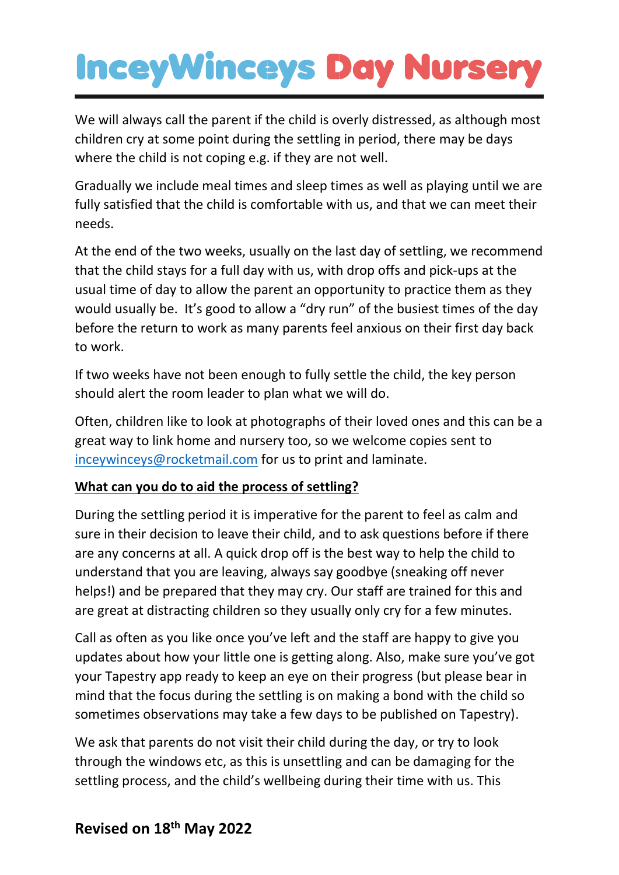# **InceyWinceys Day Nurse**

We will always call the parent if the child is overly distressed, as although most children cry at some point during the settling in period, there may be days where the child is not coping e.g. if they are not well.

Gradually we include meal times and sleep times as well as playing until we are fully satisfied that the child is comfortable with us, and that we can meet their needs.

At the end of the two weeks, usually on the last day of settling, we recommend that the child stays for a full day with us, with drop offs and pick-ups at the usual time of day to allow the parent an opportunity to practice them as they would usually be. It's good to allow a "dry run" of the busiest times of the day before the return to work as many parents feel anxious on their first day back to work.

If two weeks have not been enough to fully settle the child, the key person should alert the room leader to plan what we will do.

Often, children like to look at photographs of their loved ones and this can be a great way to link home and nursery too, so we welcome copies sent to [inceywinceys@rocketmail.com](mailto:inceywinceys@rocketmail.com) for us to print and laminate.

### **What can you do to aid the process of settling?**

During the settling period it is imperative for the parent to feel as calm and sure in their decision to leave their child, and to ask questions before if there are any concerns at all. A quick drop off is the best way to help the child to understand that you are leaving, always say goodbye (sneaking off never helps!) and be prepared that they may cry. Our staff are trained for this and are great at distracting children so they usually only cry for a few minutes.

Call as often as you like once you've left and the staff are happy to give you updates about how your little one is getting along. Also, make sure you've got your Tapestry app ready to keep an eye on their progress (but please bear in mind that the focus during the settling is on making a bond with the child so sometimes observations may take a few days to be published on Tapestry).

We ask that parents do not visit their child during the day, or try to look through the windows etc, as this is unsettling and can be damaging for the settling process, and the child's wellbeing during their time with us. This

### **Revised on 18 th May 2022**